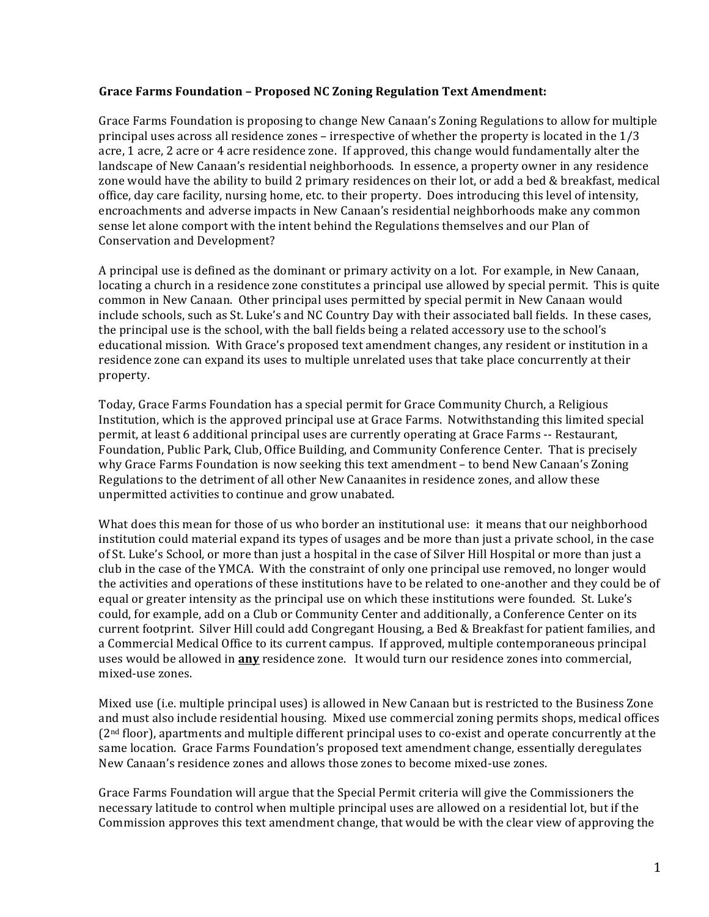## Grace Farms Foundation - Proposed NC Zoning Regulation Text Amendment:

Grace Farms Foundation is proposing to change New Canaan's Zoning Regulations to allow for multiple principal uses across all residence zones – irrespective of whether the property is located in the  $1/3$ acre, 1 acre, 2 acre or 4 acre residence zone. If approved, this change would fundamentally alter the landscape of New Canaan's residential neighborhoods. In essence, a property owner in any residence zone would have the ability to build 2 primary residences on their lot, or add a bed & breakfast, medical office, day care facility, nursing home, etc. to their property. Does introducing this level of intensity, encroachments and adverse impacts in New Canaan's residential neighborhoods make any common sense let alone comport with the intent behind the Regulations themselves and our Plan of Conservation and Development?

A principal use is defined as the dominant or primary activity on a lot. For example, in New Canaan, locating a church in a residence zone constitutes a principal use allowed by special permit. This is quite common in New Canaan. Other principal uses permitted by special permit in New Canaan would include schools, such as St. Luke's and NC Country Day with their associated ball fields. In these cases, the principal use is the school, with the ball fields being a related accessory use to the school's educational mission. With Grace's proposed text amendment changes, any resident or institution in a residence zone can expand its uses to multiple unrelated uses that take place concurrently at their property. 

Today, Grace Farms Foundation has a special permit for Grace Community Church, a Religious Institution, which is the approved principal use at Grace Farms. Notwithstanding this limited special permit, at least 6 additional principal uses are currently operating at Grace Farms -- Restaurant, Foundation, Public Park, Club, Office Building, and Community Conference Center. That is precisely why Grace Farms Foundation is now seeking this text amendment - to bend New Canaan's Zoning Regulations to the detriment of all other New Canaanites in residence zones, and allow these unpermitted activities to continue and grow unabated.

What does this mean for those of us who border an institutional use: it means that our neighborhood institution could material expand its types of usages and be more than just a private school, in the case of St. Luke's School, or more than just a hospital in the case of Silver Hill Hospital or more than just a club in the case of the YMCA. With the constraint of only one principal use removed, no longer would the activities and operations of these institutions have to be related to one-another and they could be of equal or greater intensity as the principal use on which these institutions were founded. St. Luke's could, for example, add on a Club or Community Center and additionally, a Conference Center on its current footprint. Silver Hill could add Congregant Housing, a Bed & Breakfast for patient families, and a Commercial Medical Office to its current campus. If approved, multiple contemporaneous principal uses would be allowed in **any** residence zone. It would turn our residence zones into commercial, mixed-use zones.

Mixed use (i.e. multiple principal uses) is allowed in New Canaan but is restricted to the Business Zone and must also include residential housing. Mixed use commercial zoning permits shops, medical offices  $(2<sup>nd</sup> floor)$ , apartments and multiple different principal uses to co-exist and operate concurrently at the same location. Grace Farms Foundation's proposed text amendment change, essentially deregulates New Canaan's residence zones and allows those zones to become mixed-use zones.

Grace Farms Foundation will argue that the Special Permit criteria will give the Commissioners the necessary latitude to control when multiple principal uses are allowed on a residential lot, but if the Commission approves this text amendment change, that would be with the clear view of approving the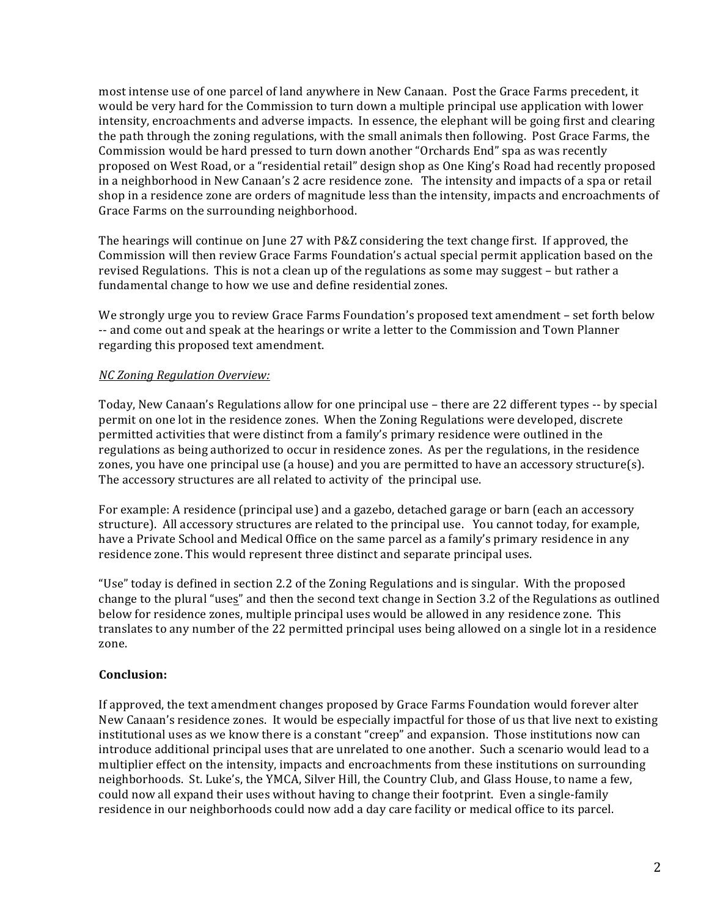most intense use of one parcel of land anywhere in New Canaan. Post the Grace Farms precedent, it would be very hard for the Commission to turn down a multiple principal use application with lower intensity, encroachments and adverse impacts. In essence, the elephant will be going first and clearing the path through the zoning regulations, with the small animals then following. Post Grace Farms, the Commission would be hard pressed to turn down another "Orchards End" spa as was recently proposed on West Road, or a "residential retail" design shop as One King's Road had recently proposed in a neighborhood in New Canaan's 2 acre residence zone. The intensity and impacts of a spa or retail shop in a residence zone are orders of magnitude less than the intensity, impacts and encroachments of Grace Farms on the surrounding neighborhood.

The hearings will continue on June 27 with P&Z considering the text change first. If approved, the Commission will then review Grace Farms Foundation's actual special permit application based on the revised Regulations. This is not a clean up of the regulations as some may suggest – but rather a fundamental change to how we use and define residential zones.

We strongly urge you to review Grace Farms Foundation's proposed text amendment – set forth below -- and come out and speak at the hearings or write a letter to the Commission and Town Planner regarding this proposed text amendment.

# *NC Zoning Regulation Overview:*

Today, New Canaan's Regulations allow for one principal use – there are 22 different types -- by special permit on one lot in the residence zones. When the Zoning Regulations were developed, discrete permitted activities that were distinct from a family's primary residence were outlined in the regulations as being authorized to occur in residence zones. As per the regulations, in the residence zones, you have one principal use (a house) and you are permitted to have an accessory structure(s). The accessory structures are all related to activity of the principal use.

For example: A residence (principal use) and a gazebo, detached garage or barn (each an accessory structure). All accessory structures are related to the principal use. You cannot today, for example, have a Private School and Medical Office on the same parcel as a family's primary residence in any residence zone. This would represent three distinct and separate principal uses.

"Use" today is defined in section 2.2 of the Zoning Regulations and is singular. With the proposed change to the plural "uses" and then the second text change in Section 3.2 of the Regulations as outlined below for residence zones, multiple principal uses would be allowed in any residence zone. This translates to any number of the 22 permitted principal uses being allowed on a single lot in a residence zone.

# **Conclusion:**

If approved, the text amendment changes proposed by Grace Farms Foundation would forever alter New Canaan's residence zones. It would be especially impactful for those of us that live next to existing institutional uses as we know there is a constant "creep" and expansion. Those institutions now can introduce additional principal uses that are unrelated to one another. Such a scenario would lead to a multiplier effect on the intensity, impacts and encroachments from these institutions on surrounding neighborhoods. St. Luke's, the YMCA, Silver Hill, the Country Club, and Glass House, to name a few, could now all expand their uses without having to change their footprint. Even a single-family residence in our neighborhoods could now add a day care facility or medical office to its parcel.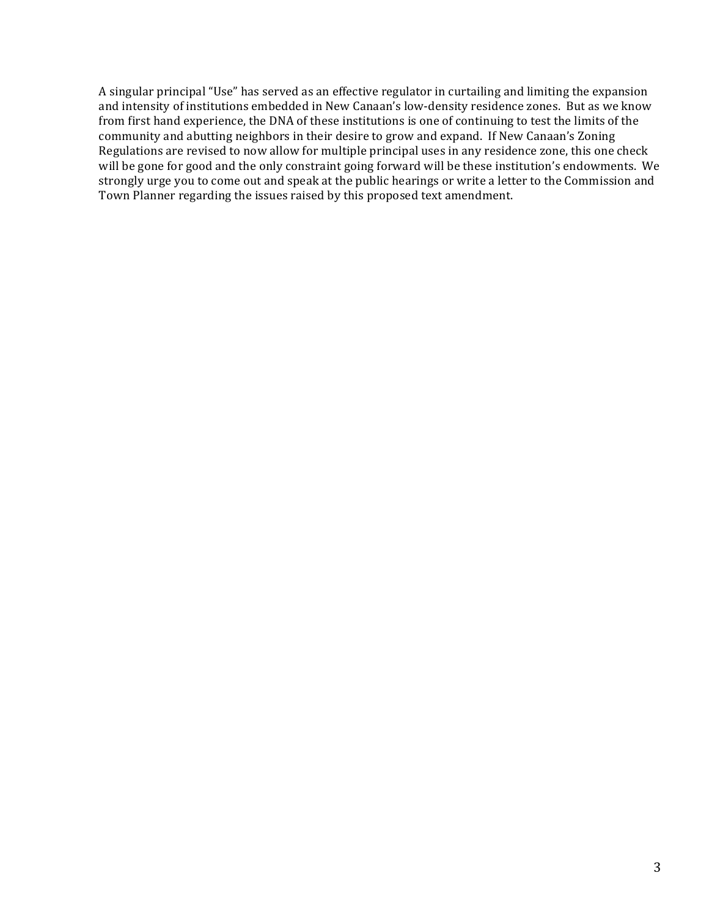A singular principal "Use" has served as an effective regulator in curtailing and limiting the expansion and intensity of institutions embedded in New Canaan's low-density residence zones. But as we know from first hand experience, the DNA of these institutions is one of continuing to test the limits of the community and abutting neighbors in their desire to grow and expand. If New Canaan's Zoning Regulations are revised to now allow for multiple principal uses in any residence zone, this one check will be gone for good and the only constraint going forward will be these institution's endowments. We strongly urge you to come out and speak at the public hearings or write a letter to the Commission and Town Planner regarding the issues raised by this proposed text amendment.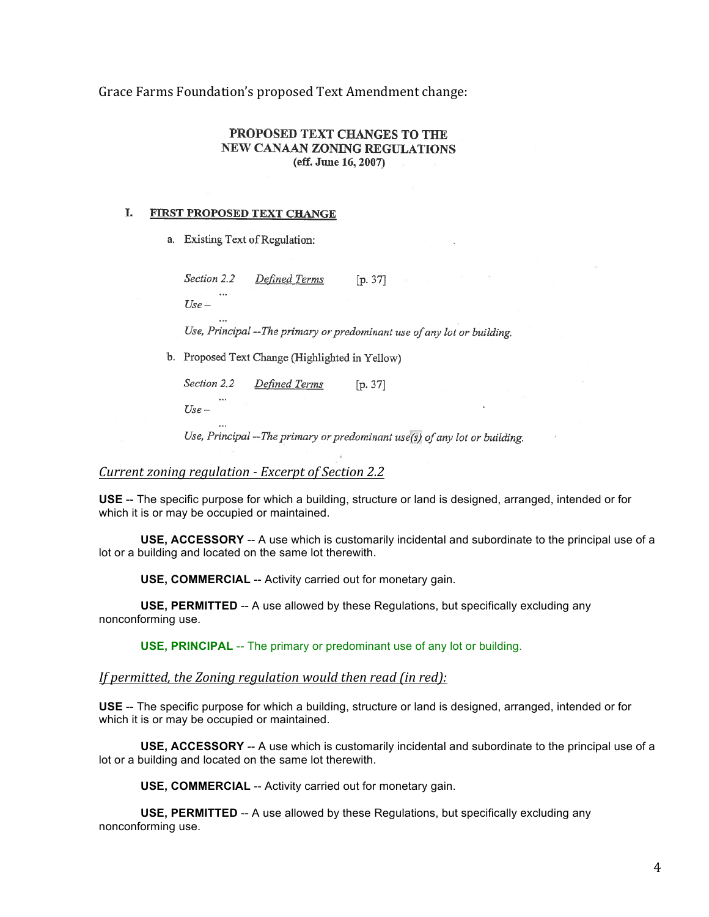Grace Farms Foundation's proposed Text Amendment change:

#### PROPOSED TEXT CHANGES TO THE NEW CANAAN ZONING REGULATIONS (eff. June 16, 2007)

#### L. FIRST PROPOSED TEXT CHANGE

a. Existing Text of Regulation:

Section 2.2 Defined Terms  $[p. 37]$  $Use -$ 

Use, Principal --The primary or predominant use of any lot or building.

b. Proposed Text Change (Highlighted in Yellow)

Section 2.2 Defined Terms  $[p. 37]$  $\cdots$  $Use -$ 

Use, Principal --The primary or predominant use(s) of any lot or building.

## *Current zoning regulation - Excerpt of Section 2.2*

**USE** -- The specific purpose for which a building, structure or land is designed, arranged, intended or for which it is or may be occupied or maintained.

**USE, ACCESSORY** -- A use which is customarily incidental and subordinate to the principal use of a lot or a building and located on the same lot therewith.

**USE, COMMERCIAL** -- Activity carried out for monetary gain.

**USE, PERMITTED** -- A use allowed by these Regulations, but specifically excluding any nonconforming use.

**USE, PRINCIPAL** -- The primary or predominant use of any lot or building.

#### If permitted, the Zoning regulation would then read (in red):

**USE** -- The specific purpose for which a building, structure or land is designed, arranged, intended or for which it is or may be occupied or maintained.

**USE, ACCESSORY** -- A use which is customarily incidental and subordinate to the principal use of a lot or a building and located on the same lot therewith.

**USE, COMMERCIAL** -- Activity carried out for monetary gain.

**USE, PERMITTED** -- A use allowed by these Regulations, but specifically excluding any nonconforming use.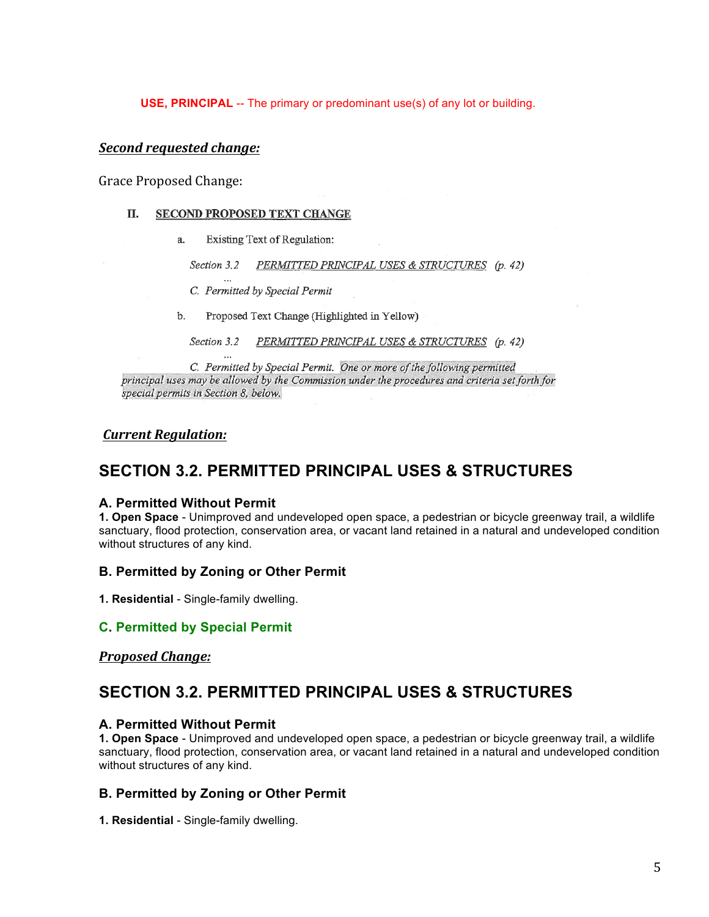**USE, PRINCIPAL** -- The primary or predominant use(s) of any lot or building.

# *Second requested change:*

Grace Proposed Change:

#### П. SECOND PROPOSED TEXT CHANGE

Existing Text of Regulation:  $a<sub>1</sub>$ 

PERMITTED PRINCIPAL USES & STRUCTURES (p. 42) Section 3.2

- C. Permitted by Special Permit
- $h_{-}$ Proposed Text Change (Highlighted in Yellow)

PERMITTED PRINCIPAL USES & STRUCTURES (p. 42) Section 3.2

C. Permitted by Special Permit. One or more of the following permitted principal uses may be allowed by the Commission under the procedures and criteria set forth for special permits in Section 8, below.

## *Current Regulation:*

# **SECTION 3.2. PERMITTED PRINCIPAL USES & STRUCTURES**

### **A. Permitted Without Permit**

**1. Open Space** - Unimproved and undeveloped open space, a pedestrian or bicycle greenway trail, a wildlife sanctuary, flood protection, conservation area, or vacant land retained in a natural and undeveloped condition without structures of any kind.

### **B. Permitted by Zoning or Other Permit**

**1. Residential** - Single-family dwelling.

# **C. Permitted by Special Permit**

*Proposed Change:*

# **SECTION 3.2. PERMITTED PRINCIPAL USES & STRUCTURES**

### **A. Permitted Without Permit**

**1. Open Space** - Unimproved and undeveloped open space, a pedestrian or bicycle greenway trail, a wildlife sanctuary, flood protection, conservation area, or vacant land retained in a natural and undeveloped condition without structures of any kind.

# **B. Permitted by Zoning or Other Permit**

**1. Residential** - Single-family dwelling.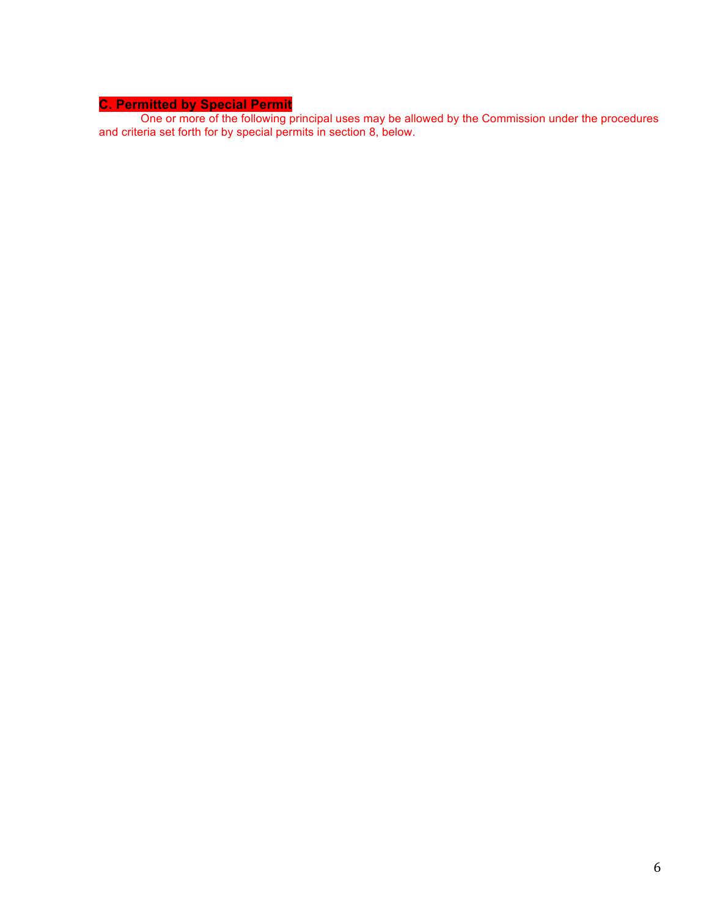### **C. Permitted by Special Permit**

One or more of the following principal uses may be allowed by the Commission under the procedures and criteria set forth for by special permits in section 8, below.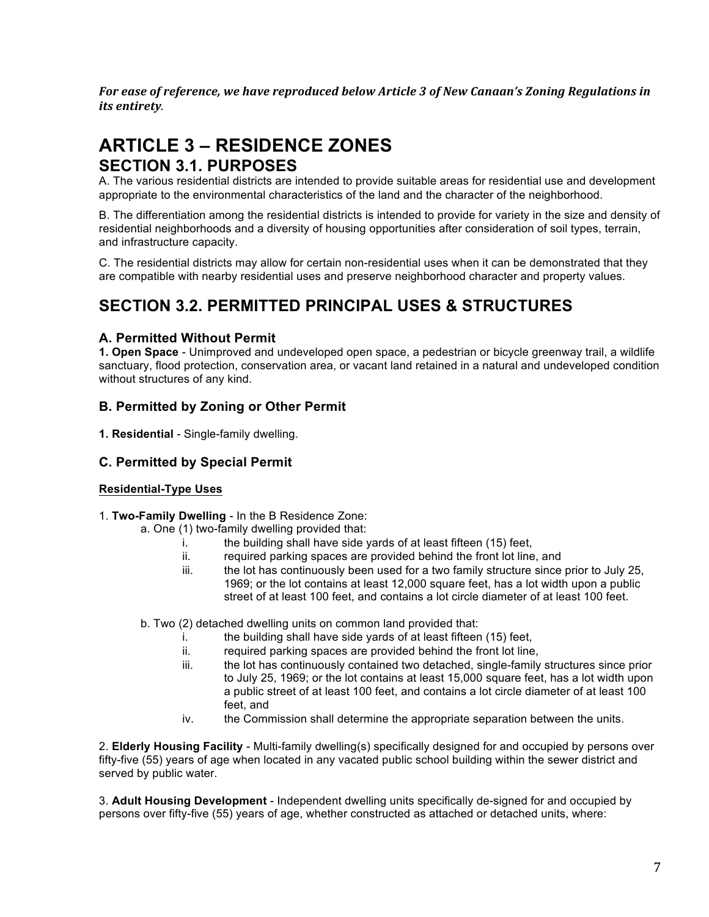For ease of reference, we have reproduced below Article 3 of New Canaan's Zoning Regulations in *its entirety*. 

# **ARTICLE 3 – RESIDENCE ZONES SECTION 3.1. PURPOSES**

A. The various residential districts are intended to provide suitable areas for residential use and development appropriate to the environmental characteristics of the land and the character of the neighborhood.

B. The differentiation among the residential districts is intended to provide for variety in the size and density of residential neighborhoods and a diversity of housing opportunities after consideration of soil types, terrain, and infrastructure capacity.

C. The residential districts may allow for certain non-residential uses when it can be demonstrated that they are compatible with nearby residential uses and preserve neighborhood character and property values.

# **SECTION 3.2. PERMITTED PRINCIPAL USES & STRUCTURES**

## **A. Permitted Without Permit**

**1. Open Space** - Unimproved and undeveloped open space, a pedestrian or bicycle greenway trail, a wildlife sanctuary, flood protection, conservation area, or vacant land retained in a natural and undeveloped condition without structures of any kind.

# **B. Permitted by Zoning or Other Permit**

**1. Residential** - Single-family dwelling.

# **C. Permitted by Special Permit**

### **Residential-Type Uses**

- 1. **Two-Family Dwelling**  In the B Residence Zone:
	- a. One (1) two-family dwelling provided that:
		- i. the building shall have side yards of at least fifteen (15) feet,
		- ii. required parking spaces are provided behind the front lot line, and
		- iii. the lot has continuously been used for a two family structure since prior to July 25, 1969; or the lot contains at least 12,000 square feet, has a lot width upon a public street of at least 100 feet, and contains a lot circle diameter of at least 100 feet.
	- b. Two (2) detached dwelling units on common land provided that:
		- i. the building shall have side yards of at least fifteen (15) feet,
		- ii. required parking spaces are provided behind the front lot line,
		- iii. the lot has continuously contained two detached, single-family structures since prior to July 25, 1969; or the lot contains at least 15,000 square feet, has a lot width upon a public street of at least 100 feet, and contains a lot circle diameter of at least 100 feet, and
		- iv. the Commission shall determine the appropriate separation between the units.

2. **Elderly Housing Facility** - Multi-family dwelling(s) specifically designed for and occupied by persons over fifty-five (55) years of age when located in any vacated public school building within the sewer district and served by public water.

3. **Adult Housing Development** - Independent dwelling units specifically de-signed for and occupied by persons over fifty-five (55) years of age, whether constructed as attached or detached units, where: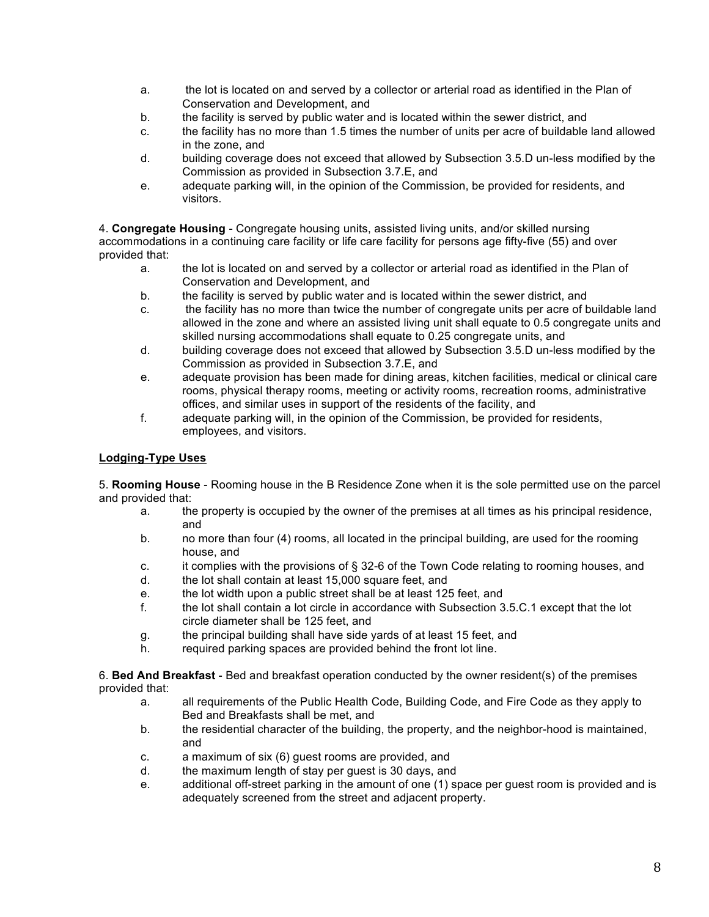- a. the lot is located on and served by a collector or arterial road as identified in the Plan of Conservation and Development, and
- b. the facility is served by public water and is located within the sewer district, and
- c. the facility has no more than 1.5 times the number of units per acre of buildable land allowed in the zone, and
- d. building coverage does not exceed that allowed by Subsection 3.5.D un-less modified by the Commission as provided in Subsection 3.7.E, and
- e. adequate parking will, in the opinion of the Commission, be provided for residents, and visitors.

4. **Congregate Housing** - Congregate housing units, assisted living units, and/or skilled nursing

accommodations in a continuing care facility or life care facility for persons age fifty-five (55) and over provided that:

- a. the lot is located on and served by a collector or arterial road as identified in the Plan of Conservation and Development, and
- b. the facility is served by public water and is located within the sewer district, and
- c. the facility has no more than twice the number of congregate units per acre of buildable land allowed in the zone and where an assisted living unit shall equate to 0.5 congregate units and skilled nursing accommodations shall equate to 0.25 congregate units, and
- d. building coverage does not exceed that allowed by Subsection 3.5.D un-less modified by the Commission as provided in Subsection 3.7.E, and
- e. adequate provision has been made for dining areas, kitchen facilities, medical or clinical care rooms, physical therapy rooms, meeting or activity rooms, recreation rooms, administrative offices, and similar uses in support of the residents of the facility, and
- f. adequate parking will, in the opinion of the Commission, be provided for residents, employees, and visitors.

## **Lodging-Type Uses**

5. **Rooming House** - Rooming house in the B Residence Zone when it is the sole permitted use on the parcel and provided that:

- a. the property is occupied by the owner of the premises at all times as his principal residence, and
- b. no more than four (4) rooms, all located in the principal building, are used for the rooming house, and
- c. it complies with the provisions of  $\S 32-6$  of the Town Code relating to rooming houses, and
- d. the lot shall contain at least 15,000 square feet, and
- e. the lot width upon a public street shall be at least 125 feet, and
- f. the lot shall contain a lot circle in accordance with Subsection 3.5.C.1 except that the lot circle diameter shall be 125 feet, and
- g. the principal building shall have side yards of at least 15 feet, and
- h. required parking spaces are provided behind the front lot line.

6. **Bed And Breakfast** - Bed and breakfast operation conducted by the owner resident(s) of the premises provided that:

- a. all requirements of the Public Health Code, Building Code, and Fire Code as they apply to Bed and Breakfasts shall be met, and
- b. the residential character of the building, the property, and the neighbor-hood is maintained, and
- c. a maximum of six (6) guest rooms are provided, and
- d. the maximum length of stay per guest is 30 days, and
- e. additional off-street parking in the amount of one (1) space per guest room is provided and is adequately screened from the street and adjacent property.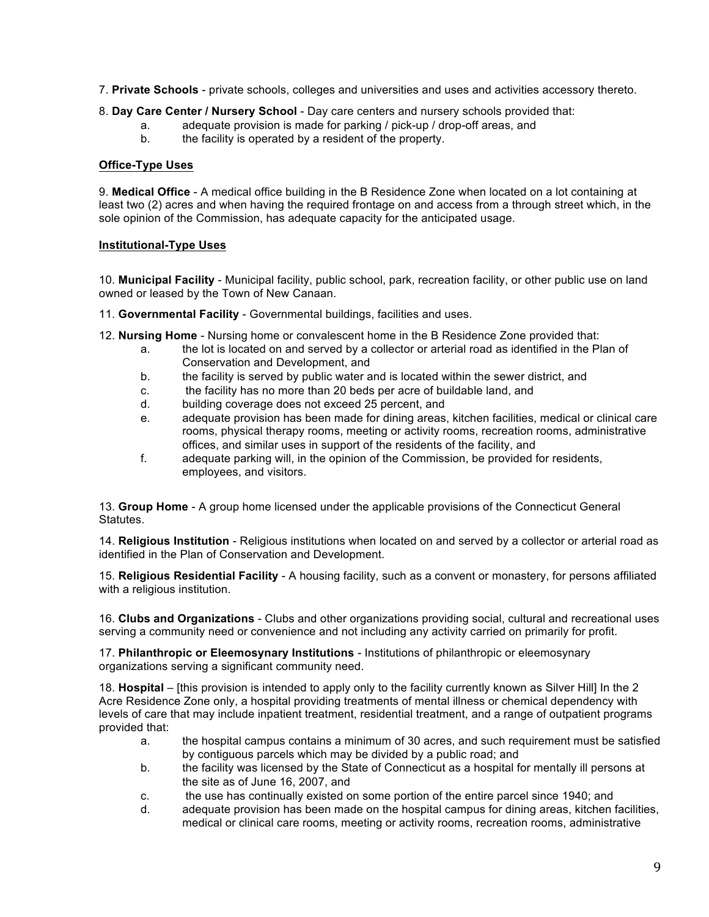- 7. **Private Schools**  private schools, colleges and universities and uses and activities accessory thereto.
- 8. **Day Care Center / Nursery School**  Day care centers and nursery schools provided that:
	- a. adequate provision is made for parking / pick-up / drop-off areas, and
	- b. the facility is operated by a resident of the property.

#### **Office-Type Uses**

9. **Medical Office** - A medical office building in the B Residence Zone when located on a lot containing at least two (2) acres and when having the required frontage on and access from a through street which, in the sole opinion of the Commission, has adequate capacity for the anticipated usage.

#### **Institutional-Type Uses**

10. **Municipal Facility** - Municipal facility, public school, park, recreation facility, or other public use on land owned or leased by the Town of New Canaan.

- 11. **Governmental Facility**  Governmental buildings, facilities and uses.
- 12. **Nursing Home**  Nursing home or convalescent home in the B Residence Zone provided that:
	- a. the lot is located on and served by a collector or arterial road as identified in the Plan of Conservation and Development, and
	- b. the facility is served by public water and is located within the sewer district, and
	- c. the facility has no more than 20 beds per acre of buildable land, and
	- d. building coverage does not exceed 25 percent, and
	- e. adequate provision has been made for dining areas, kitchen facilities, medical or clinical care rooms, physical therapy rooms, meeting or activity rooms, recreation rooms, administrative offices, and similar uses in support of the residents of the facility, and
	- f. adequate parking will, in the opinion of the Commission, be provided for residents, employees, and visitors.

13. **Group Home** - A group home licensed under the applicable provisions of the Connecticut General Statutes.

14. **Religious Institution** - Religious institutions when located on and served by a collector or arterial road as identified in the Plan of Conservation and Development.

15. **Religious Residential Facility** - A housing facility, such as a convent or monastery, for persons affiliated with a religious institution.

16. **Clubs and Organizations** - Clubs and other organizations providing social, cultural and recreational uses serving a community need or convenience and not including any activity carried on primarily for profit.

17. **Philanthropic or Eleemosynary Institutions** - Institutions of philanthropic or eleemosynary organizations serving a significant community need.

18. **Hospital** – [this provision is intended to apply only to the facility currently known as Silver Hill] In the 2 Acre Residence Zone only, a hospital providing treatments of mental illness or chemical dependency with levels of care that may include inpatient treatment, residential treatment, and a range of outpatient programs provided that:

- a. the hospital campus contains a minimum of 30 acres, and such requirement must be satisfied by contiguous parcels which may be divided by a public road; and
- b. the facility was licensed by the State of Connecticut as a hospital for mentally ill persons at the site as of June 16, 2007, and
- c. the use has continually existed on some portion of the entire parcel since 1940; and
- d. adequate provision has been made on the hospital campus for dining areas, kitchen facilities, medical or clinical care rooms, meeting or activity rooms, recreation rooms, administrative